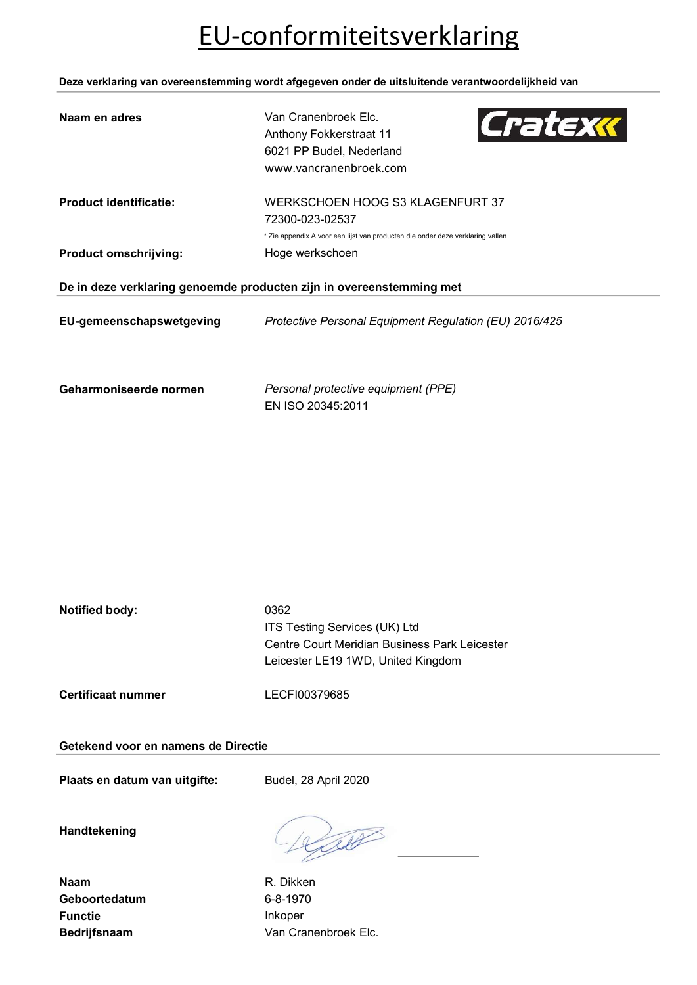# EU-conformiteitsverklaring

Deze verklaring van overeenstemming wordt afgegeven onder de uitsluitende verantwoordelijkheid van

| Naam en adres                 | Van Cranenbroek Elc.<br>Cratexx<br>Anthony Fokkerstraat 11<br>6021 PP Budel, Nederland<br>www.vancranenbroek.com |
|-------------------------------|------------------------------------------------------------------------------------------------------------------|
| <b>Product identificatie:</b> | WERKSCHOEN HOOG S3 KLAGENFURT 37<br>72300-023-02537                                                              |
|                               | * Zie appendix A voor een lijst van producten die onder deze verklaring vallen                                   |
| <b>Product omschrijving:</b>  | Hoge werkschoen                                                                                                  |
|                               | De in deze verklaring genoemde producten zijn in overeenstemming met                                             |
| EU-gemeenschapswetgeving      | Protective Personal Equipment Regulation (EU) 2016/425                                                           |
| Geharmoniseerde normen        | Personal protective equipment (PPE)<br>EN ISO 20345:2011                                                         |

| Notified body: | 0362                                          |
|----------------|-----------------------------------------------|
|                | <b>ITS Testing Services (UK) Ltd</b>          |
|                | Centre Court Meridian Business Park Leicester |
|                | Leicester LE19 1WD, United Kingdom            |
|                |                                               |

Certificaat nummer LECFI00379685

### Getekend voor en namens de Directie

Plaats en datum van uitgifte: Budel, 28 April 2020

Handtekening

Naam R. Dikken Geboortedatum 6-8-1970 Functie Inkoper

Lib

Bedrijfsnaam Van Cranenbroek Elc.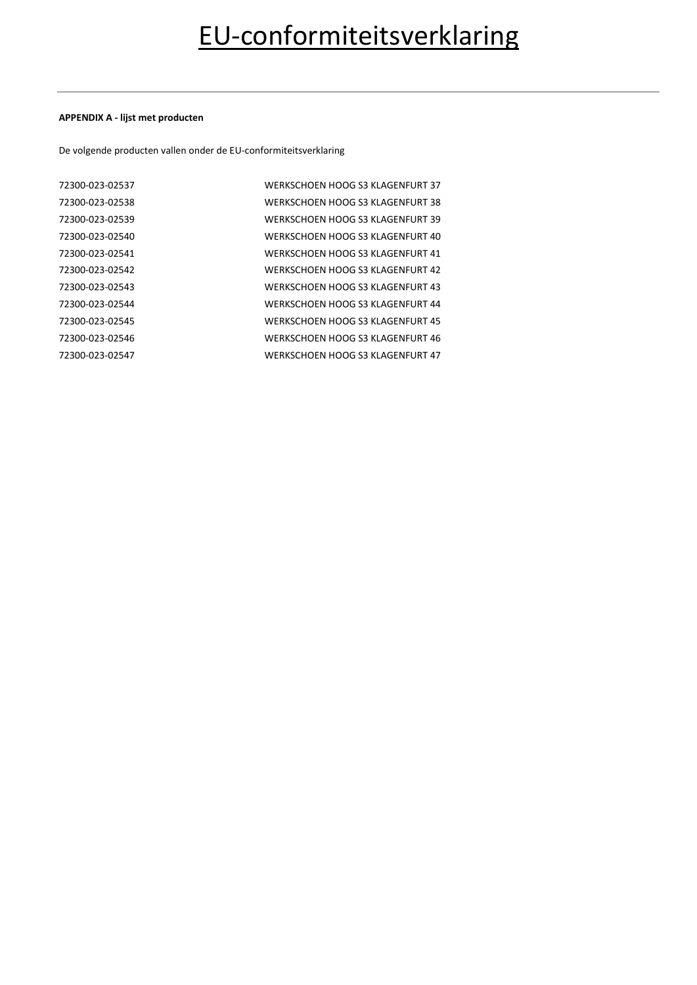### APPENDIX A - lijst met producten

De volgende producten vallen onder de EU-conformiteitsverklaring

| WERKSCHOEN HOOG S3 KLAGENFURT 38 |
|----------------------------------|
| WERKSCHOEN HOOG S3 KLAGENFURT 39 |
| WERKSCHOEN HOOG S3 KLAGENFURT 40 |
| WERKSCHOEN HOOG S3 KLAGENFURT 41 |
| WERKSCHOEN HOOG S3 KLAGENFURT 42 |
| WERKSCHOEN HOOG S3 KLAGENFURT 43 |
| WERKSCHOEN HOOG S3 KLAGENFURT 44 |
| WERKSCHOEN HOOG S3 KLAGENFURT 45 |
| WERKSCHOEN HOOG S3 KLAGENFURT 46 |
| WERKSCHOEN HOOG S3 KLAGENFURT 47 |
|                                  |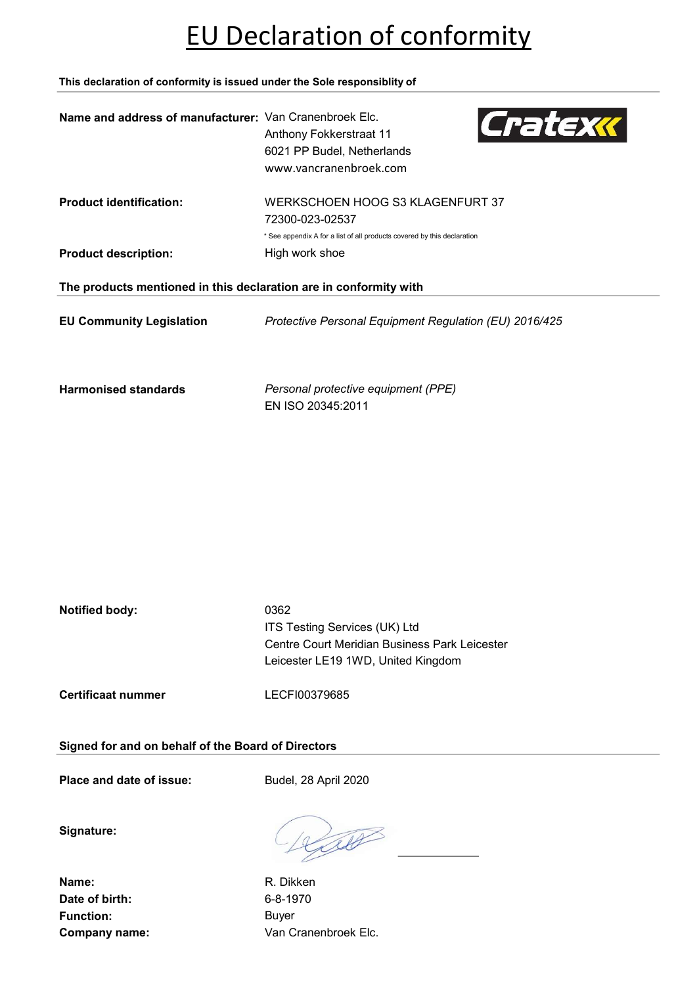## EU Declaration of conformity

This declaration of conformity is issued under the Sole responsiblity of

| Name and address of manufacturer: Van Cranenbroek Elc.            | Cratexx<br>Anthony Fokkerstraat 11<br>6021 PP Budel, Netherlands<br>www.vancranenbroek.com |  |
|-------------------------------------------------------------------|--------------------------------------------------------------------------------------------|--|
| <b>Product identification:</b>                                    | WERKSCHOEN HOOG S3 KLAGENFURT 37<br>72300-023-02537                                        |  |
|                                                                   | * See appendix A for a list of all products covered by this declaration                    |  |
| <b>Product description:</b>                                       | High work shoe                                                                             |  |
| The products mentioned in this declaration are in conformity with |                                                                                            |  |
| <b>EU Community Legislation</b>                                   | Protective Personal Equipment Regulation (EU) 2016/425                                     |  |
| <b>Harmonised standards</b>                                       | Personal protective equipment (PPE)<br>EN ISO 20345:2011                                   |  |

| Notified body: | 0362                                          |
|----------------|-----------------------------------------------|
|                | ITS Testing Services (UK) Ltd                 |
|                | Centre Court Meridian Business Park Leicester |
|                | Leicester LE19 1WD, United Kingdom            |
|                |                                               |

Certificaat nummer LECFI00379685

Signed for and on behalf of the Board of Directors

Place and date of issue: Budel, 28 April 2020

Signature:

Name: R. Dikken Date of birth: 6-8-1970 Function: Buyer

Laco

Company name: Van Cranenbroek Elc.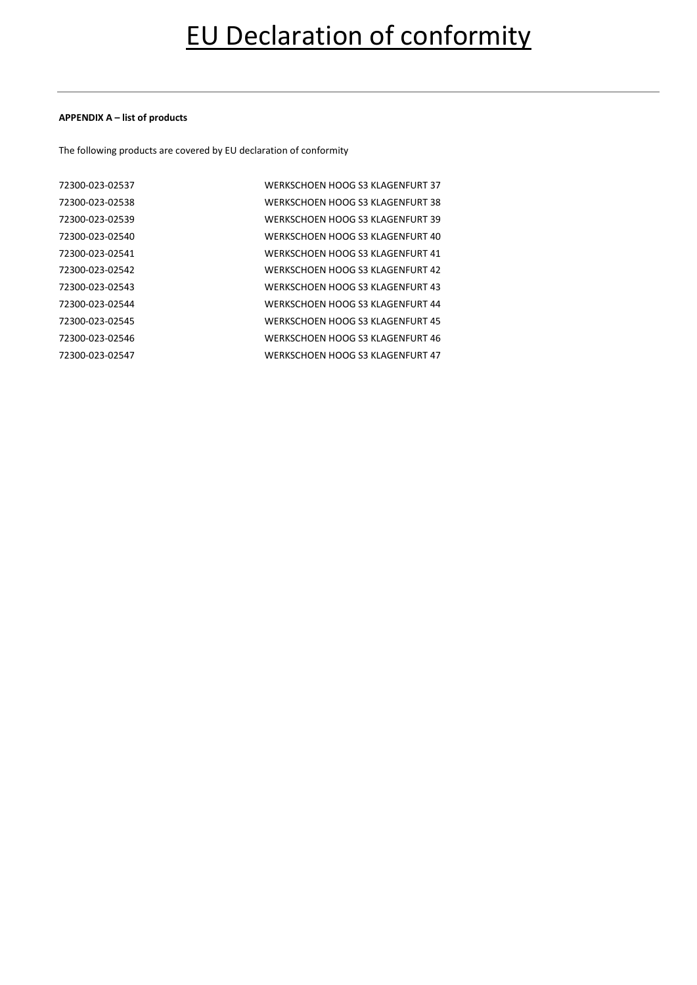### APPENDIX A – list of products

The following products are covered by EU declaration of conformity

| WERKSCHOEN HOOG S3 KLAGENFURT 38 |
|----------------------------------|
| WERKSCHOEN HOOG S3 KLAGENFURT 39 |
| WERKSCHOEN HOOG S3 KLAGENFURT 40 |
| WERKSCHOEN HOOG S3 KLAGENFURT 41 |
| WERKSCHOEN HOOG S3 KLAGENFURT 42 |
| WERKSCHOEN HOOG S3 KLAGENFURT 43 |
| WERKSCHOEN HOOG S3 KLAGENFURT 44 |
| WERKSCHOEN HOOG S3 KLAGENFURT 45 |
| WERKSCHOEN HOOG S3 KLAGENFURT 46 |
| WERKSCHOEN HOOG S3 KLAGENFURT 47 |
|                                  |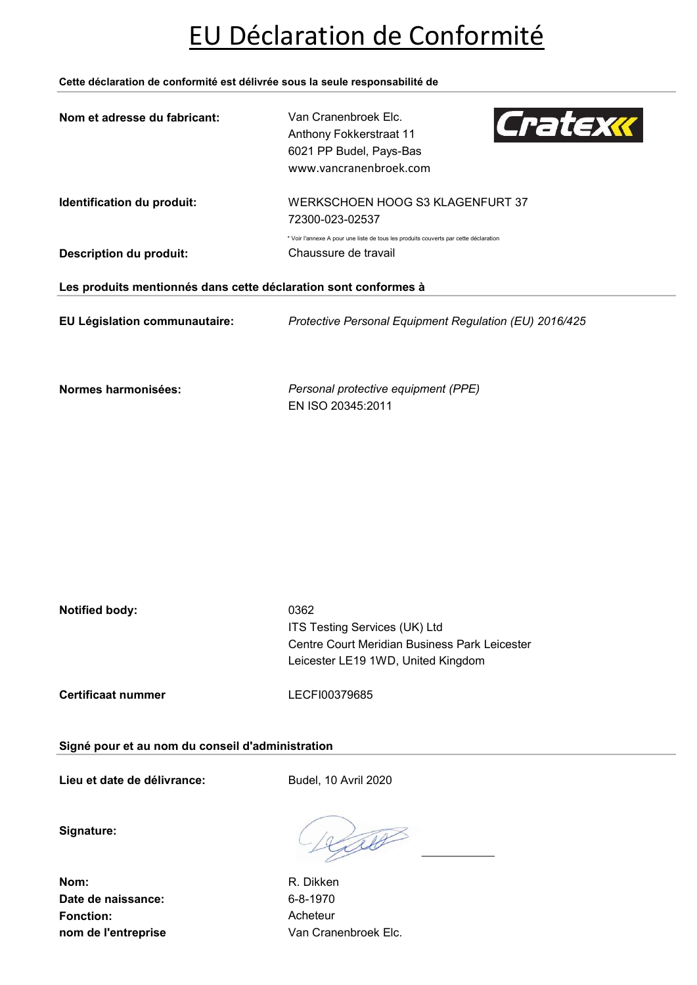### EU Déclaration de Conformité

Cette déclaration de conformité est délivrée sous la seule responsabilité de

| Nom et adresse du fabricant:                                    | Van Cranenbroek Elc.<br>Cratexx<br>Anthony Fokkerstraat 11<br>6021 PP Budel, Pays-Bas<br>www.vancranenbroek.com |
|-----------------------------------------------------------------|-----------------------------------------------------------------------------------------------------------------|
| Identification du produit:                                      | WERKSCHOEN HOOG S3 KLAGENFURT 37<br>72300-023-02537                                                             |
| <b>Description du produit:</b>                                  | * Voir l'annexe A pour une liste de tous les produits couverts par cette déclaration<br>Chaussure de travail    |
| Les produits mentionnés dans cette déclaration sont conformes à |                                                                                                                 |
| EU Législation communautaire:                                   | Protective Personal Equipment Regulation (EU) 2016/425                                                          |
| Normes harmonisées:                                             | Personal protective equipment (PPE)<br>EN ISO 20345:2011                                                        |

| Notified body: | 0362                                          |
|----------------|-----------------------------------------------|
|                | <b>ITS Testing Services (UK) Ltd</b>          |
|                | Centre Court Meridian Business Park Leicester |
|                | Leicester LE19 1WD, United Kingdom            |
|                |                                               |

Signé pour et au nom du conseil d'administration

Certificaat nummer LECFI00379685

Lieu et date de délivrance: Budel, 10 Avril 2020

Signature:

Nom: R. Dikken Date de naissance: 6-8-1970 Fonction: Acheteur

Lib

nom de l'entreprise Van Cranenbroek Elc.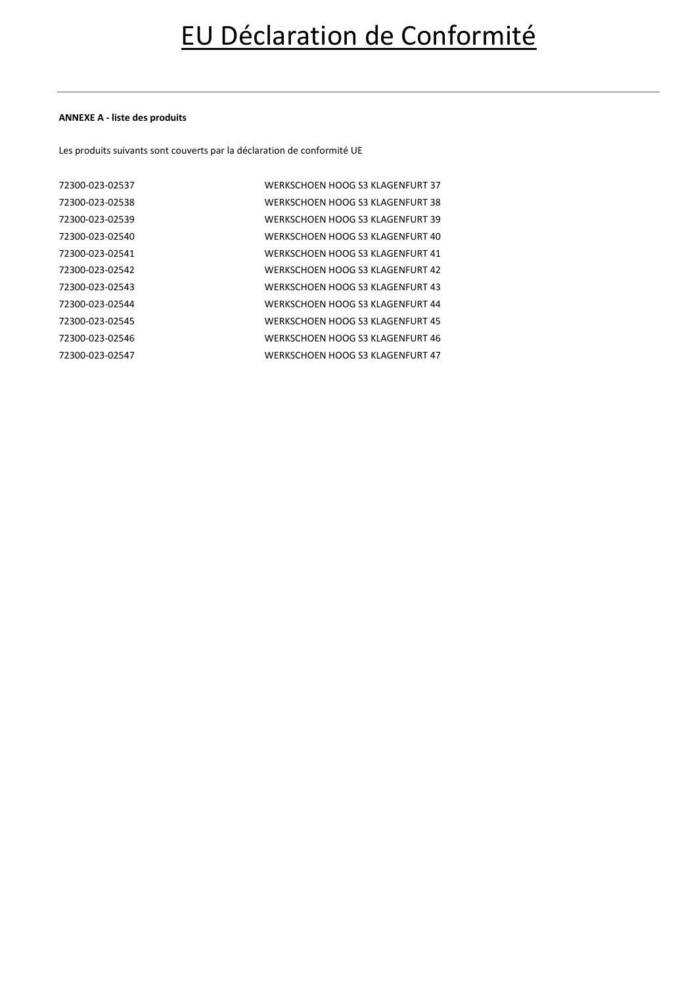### ANNEXE A - liste des produits

Les produits suivants sont couverts par la déclaration de conformité UE

| WERKSCHOEN HOOG S3 KLAGENFURT 37 |
|----------------------------------|
| WERKSCHOEN HOOG S3 KLAGENFURT 38 |
| WERKSCHOEN HOOG S3 KLAGENFURT 39 |
| WERKSCHOEN HOOG S3 KLAGENFURT 40 |
| WERKSCHOEN HOOG S3 KLAGENFURT 41 |
| WERKSCHOEN HOOG S3 KLAGENFURT 42 |
| WERKSCHOEN HOOG S3 KLAGENFURT 43 |
| WERKSCHOEN HOOG S3 KLAGENFURT 44 |
| WERKSCHOEN HOOG S3 KLAGENFURT 45 |
| WERKSCHOEN HOOG S3 KLAGENFURT 46 |
| WERKSCHOEN HOOG S3 KLAGENFURT 47 |
|                                  |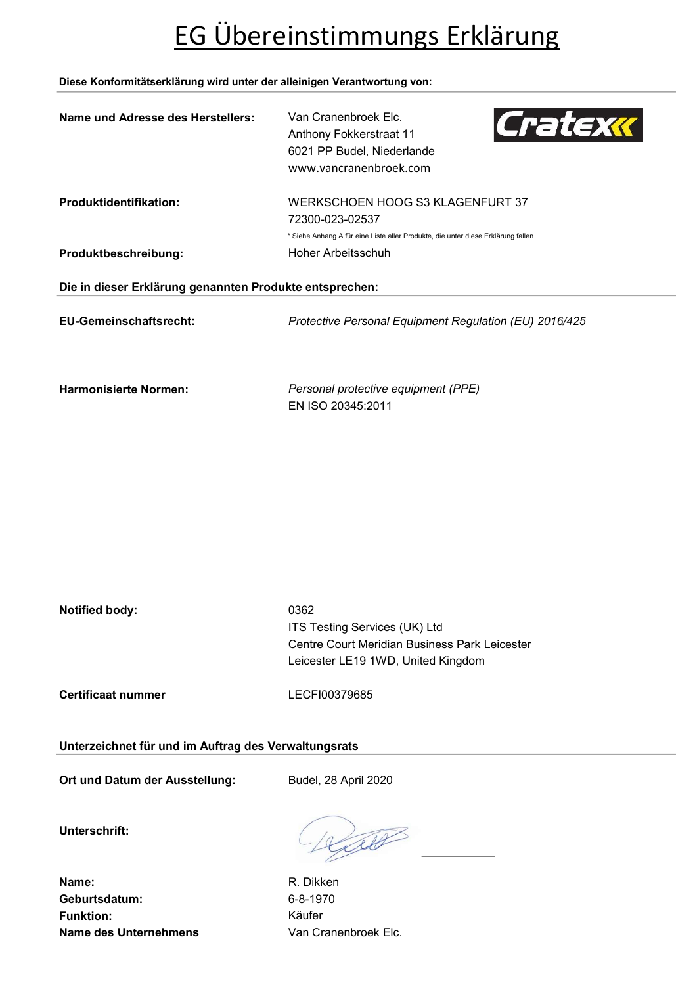# EG Übereinstimmungs Erklärung

### Diese Konformitätserklärung wird unter der alleinigen Verantwortung von:

| Name und Adresse des Herstellers: | Van Cranenbroek Elc.<br>Cratexx<br>Anthony Fokkerstraat 11<br>6021 PP Budel, Niederlande<br>www.vancranenbroek.com |  |  |
|-----------------------------------|--------------------------------------------------------------------------------------------------------------------|--|--|
| <b>Produktidentifikation:</b>     | WERKSCHOEN HOOG S3 KLAGENFURT 37<br>72300-023-02537                                                                |  |  |
| Produktbeschreibung:              | * Siehe Anhang A für eine Liste aller Produkte, die unter diese Erklärung fallen<br>Hoher Arbeitsschuh             |  |  |
|                                   | Die in dieser Erklärung genannten Produkte entsprechen:                                                            |  |  |
| <b>EU-Gemeinschaftsrecht:</b>     | Protective Personal Equipment Regulation (EU) 2016/425                                                             |  |  |
| <b>Harmonisierte Normen:</b>      | Personal protective equipment (PPE)<br>EN ISO 20345:2011                                                           |  |  |

| Notified body: | 0362                                          |
|----------------|-----------------------------------------------|
|                | ITS Testing Services (UK) Ltd                 |
|                | Centre Court Meridian Business Park Leicester |
|                | Leicester LE19 1WD, United Kingdom            |
|                |                                               |

Certificaat nummer LECFI00379685

Unterzeichnet für und im Auftrag des Verwaltungsrats

Ort und Datum der Ausstellung: Budel, 28 April 2020

Unterschrift:

Litt

Name: R. Dikken Geburtsdatum: 6-8-1970 Funktion: Käufer Name des Unternehmens Van Cranenbroek Elc.